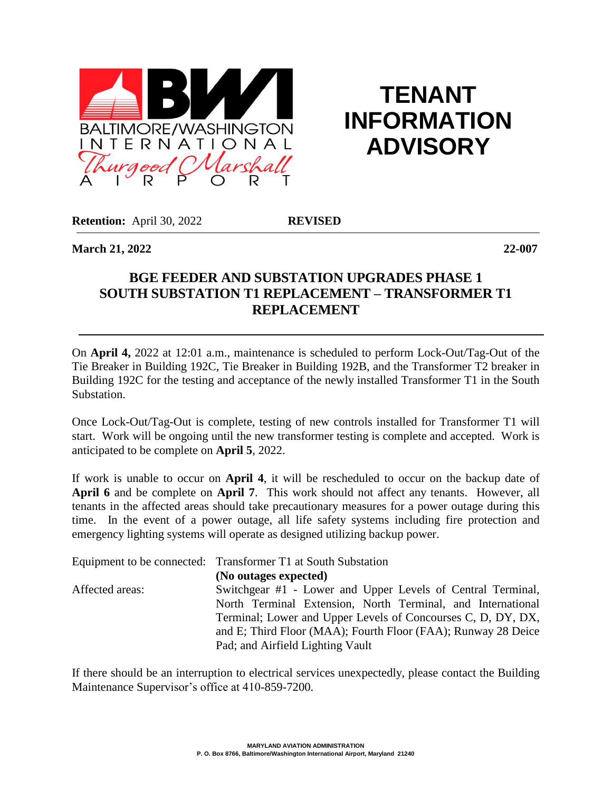

## **TENANT INFORMATION ADVISORY**

**Retention:** April 30, 2022 **REVISED** 

**March 21, 2022 22-007**

## **BGE FEEDER AND SUBSTATION UPGRADES PHASE 1 SOUTH SUBSTATION T1 REPLACEMENT – TRANSFORMER T1 REPLACEMENT**

On **April 4,** 2022 at 12:01 a.m., maintenance is scheduled to perform Lock-Out/Tag-Out of the Tie Breaker in Building 192C, Tie Breaker in Building 192B, and the Transformer T2 breaker in Building 192C for the testing and acceptance of the newly installed Transformer T1 in the South Substation.

Once Lock-Out/Tag-Out is complete, testing of new controls installed for Transformer T1 will start. Work will be ongoing until the new transformer testing is complete and accepted. Work is anticipated to be complete on **April 5**, 2022.

If work is unable to occur on **April 4**, it will be rescheduled to occur on the backup date of **April 6** and be complete on **April 7**. This work should not affect any tenants. However, all tenants in the affected areas should take precautionary measures for a power outage during this time. In the event of a power outage, all life safety systems including fire protection and emergency lighting systems will operate as designed utilizing backup power.

|                 | Equipment to be connected: Transformer T1 at South Substation |
|-----------------|---------------------------------------------------------------|
|                 | (No outages expected)                                         |
| Affected areas: | Switchgear #1 - Lower and Upper Levels of Central Terminal,   |
|                 | North Terminal Extension, North Terminal, and International   |
|                 | Terminal; Lower and Upper Levels of Concourses C, D, DY, DX,  |
|                 | and E; Third Floor (MAA); Fourth Floor (FAA); Runway 28 Deice |
|                 | Pad; and Airfield Lighting Vault                              |

If there should be an interruption to electrical services unexpectedly, please contact the Building Maintenance Supervisor's office at 410-859-7200.